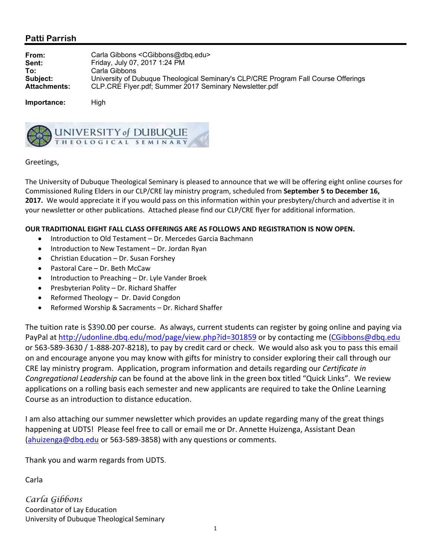## **Patti Parrish**

| From:               | Carla Gibbons < CGibbons@dbq.edu>                                                  |
|---------------------|------------------------------------------------------------------------------------|
| Sent:               | Friday, July 07, 2017 1:24 PM                                                      |
| To:                 | Carla Gibbons                                                                      |
| Subject:            | University of Dubuque Theological Seminary's CLP/CRE Program Fall Course Offerings |
| <b>Attachments:</b> | CLP.CRE Flyer.pdf; Summer 2017 Seminary Newsletter.pdf                             |
|                     |                                                                                    |

**Importance:** High



## Greetings,

The University of Dubuque Theological Seminary is pleased to announce that we will be offering eight online courses for Commissioned Ruling Elders in our CLP/CRE lay ministry program, scheduled from **September 5 to December 16, 2017.** We would appreciate it if you would pass on this information within your presbytery/church and advertise it in your newsletter or other publications. Attached please find our CLP/CRE flyer for additional information.

## **OUR TRADITIONAL EIGHT FALL CLASS OFFERINGS ARE AS FOLLOWS AND REGISTRATION IS NOW OPEN.**

- Introduction to Old Testament Dr. Mercedes Garcia Bachmann
- Introduction to New Testament Dr. Jordan Ryan
- Christian Education Dr. Susan Forshey
- Pastoral Care Dr. Beth McCaw
- Introduction to Preaching Dr. Lyle Vander Broek
- Presbyterian Polity Dr. Richard Shaffer
- Reformed Theology Dr. David Congdon
- Reformed Worship & Sacraments Dr. Richard Shaffer

The tuition rate is \$390.00 per course. As always, current students can register by going online and paying via PayPal at http://udonline.dbq.edu/mod/page/view.php?id=301859 or by contacting me (CGibbons@dbq.edu or 563‐589‐3630 / 1‐888‐207‐8218), to pay by credit card or check. We would also ask you to pass this email on and encourage anyone you may know with gifts for ministry to consider exploring their call through our CRE lay ministry program. Application, program information and details regarding our *Certificate in Congregational Leadership* can be found at the above link in the green box titled "Quick Links". We review applications on a rolling basis each semester and new applicants are required to take the Online Learning Course as an introduction to distance education.

I am also attaching our summer newsletter which provides an update regarding many of the great things happening at UDTS! Please feel free to call or email me or Dr. Annette Huizenga, Assistant Dean (ahuizenga@dbq.edu or 563‐589‐3858) with any questions or comments.

Thank you and warm regards from UDTS.

Carla

*Carla Gibbons*  Coordinator of Lay Education University of Dubuque Theological Seminary